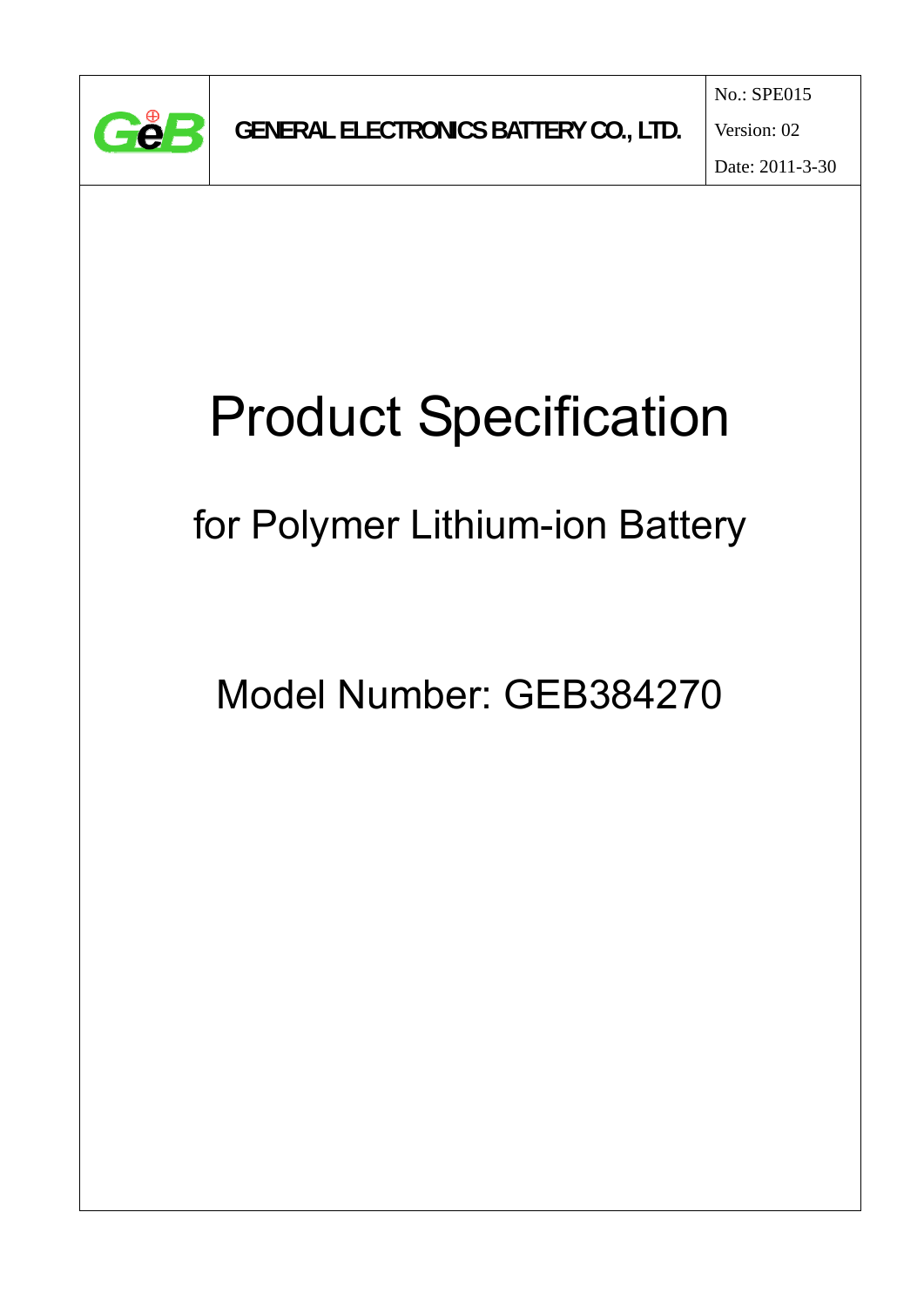

Date: 2011-3-30

# Product Specification

for Polymer Lithium-ion Battery

Model Number: GEB384270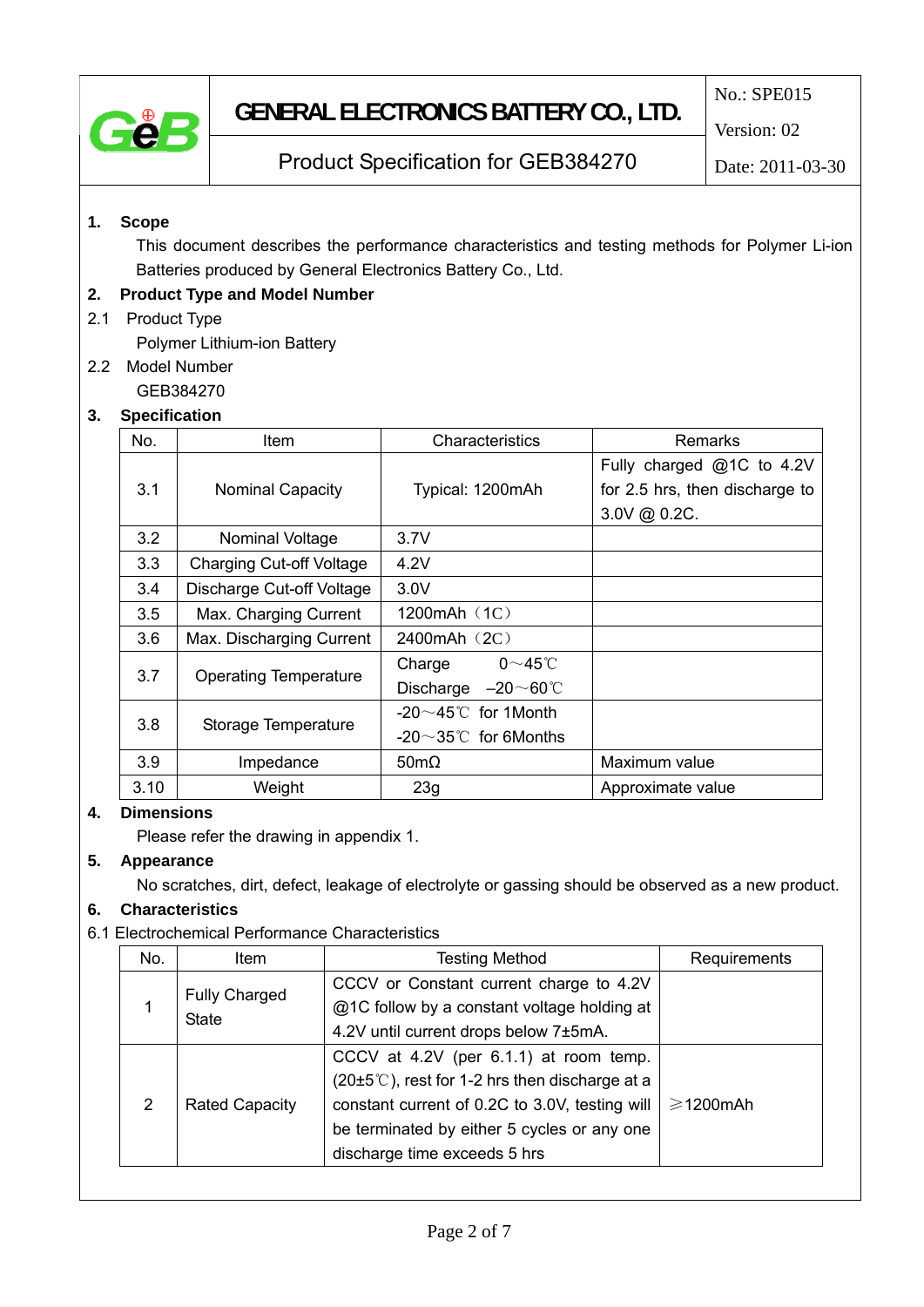

## **GENERAL ELECTRONICS BATTERY CO., LTD.**

No.: SPE015

Version: 02

### Product Specification for GEB384270

Date: 2011-03-30

### **1. Scope**

This document describes the performance characteristics and testing methods for Polymer Li-ion Batteries produced by General Electronics Battery Co., Ltd.

### **2. Product Type and Model Number**

### 2.1 Product Type

Polymer Lithium-ion Battery

2.2 Model Number

GEB384270

### **3. Specification**

| No.  | Item                            | Characteristics                                                                | Remarks                        |
|------|---------------------------------|--------------------------------------------------------------------------------|--------------------------------|
|      |                                 |                                                                                | Fully charged @1C to 4.2V      |
| 3.1  | <b>Nominal Capacity</b>         | Typical: 1200mAh                                                               | for 2.5 hrs, then discharge to |
|      |                                 |                                                                                | 3.0V @ 0.2C.                   |
| 3.2  | Nominal Voltage                 | 3.7V                                                                           |                                |
| 3.3  | <b>Charging Cut-off Voltage</b> | 4.2V                                                                           |                                |
| 3.4  | Discharge Cut-off Voltage       | 3.0V                                                                           |                                |
| 3.5  | Max. Charging Current           | 1200mAh (1C)                                                                   |                                |
| 3.6  | Max. Discharging Current        | 2400mAh (2C)                                                                   |                                |
| 3.7  | <b>Operating Temperature</b>    | $0\neg 45^\circ C$<br>Charge                                                   |                                |
|      |                                 | $-20\negthinspace\negthinspace\negthinspace 60^\circ\!\mathbb{C}$<br>Discharge |                                |
| 3.8  | Storage Temperature             | -20 $\sim$ 45°C for 1Month                                                     |                                |
|      |                                 | $-20^\sim35^\circ$ for 6Months                                                 |                                |
| 3.9  | Impedance                       | $50 \text{m}\Omega$                                                            | Maximum value                  |
| 3.10 | Weight                          | 23q                                                                            | Approximate value              |

### **4. Dimensions**

Please refer the drawing in appendix 1.

### **5. Appearance**

No scratches, dirt, defect, leakage of electrolyte or gassing should be observed as a new product.

### **6. Characteristics**

### 6.1 Electrochemical Performance Characteristics

| No.            | <b>Item</b>           | <b>Testing Method</b>                                             | Requirements         |
|----------------|-----------------------|-------------------------------------------------------------------|----------------------|
|                | <b>Fully Charged</b>  | CCCV or Constant current charge to 4.2V                           |                      |
|                | <b>State</b>          | @1C follow by a constant voltage holding at                       |                      |
|                |                       | 4.2V until current drops below 7±5mA.                             |                      |
|                | <b>Rated Capacity</b> | CCCV at 4.2V (per 6.1.1) at room temp.                            |                      |
|                |                       | $(20\pm5^{\circ}\text{C})$ , rest for 1-2 hrs then discharge at a |                      |
| $\overline{2}$ |                       | constant current of 0.2C to 3.0V, testing will                    | $\geqslant$ 1200 mAh |
|                |                       | be terminated by either 5 cycles or any one                       |                      |
|                |                       | discharge time exceeds 5 hrs                                      |                      |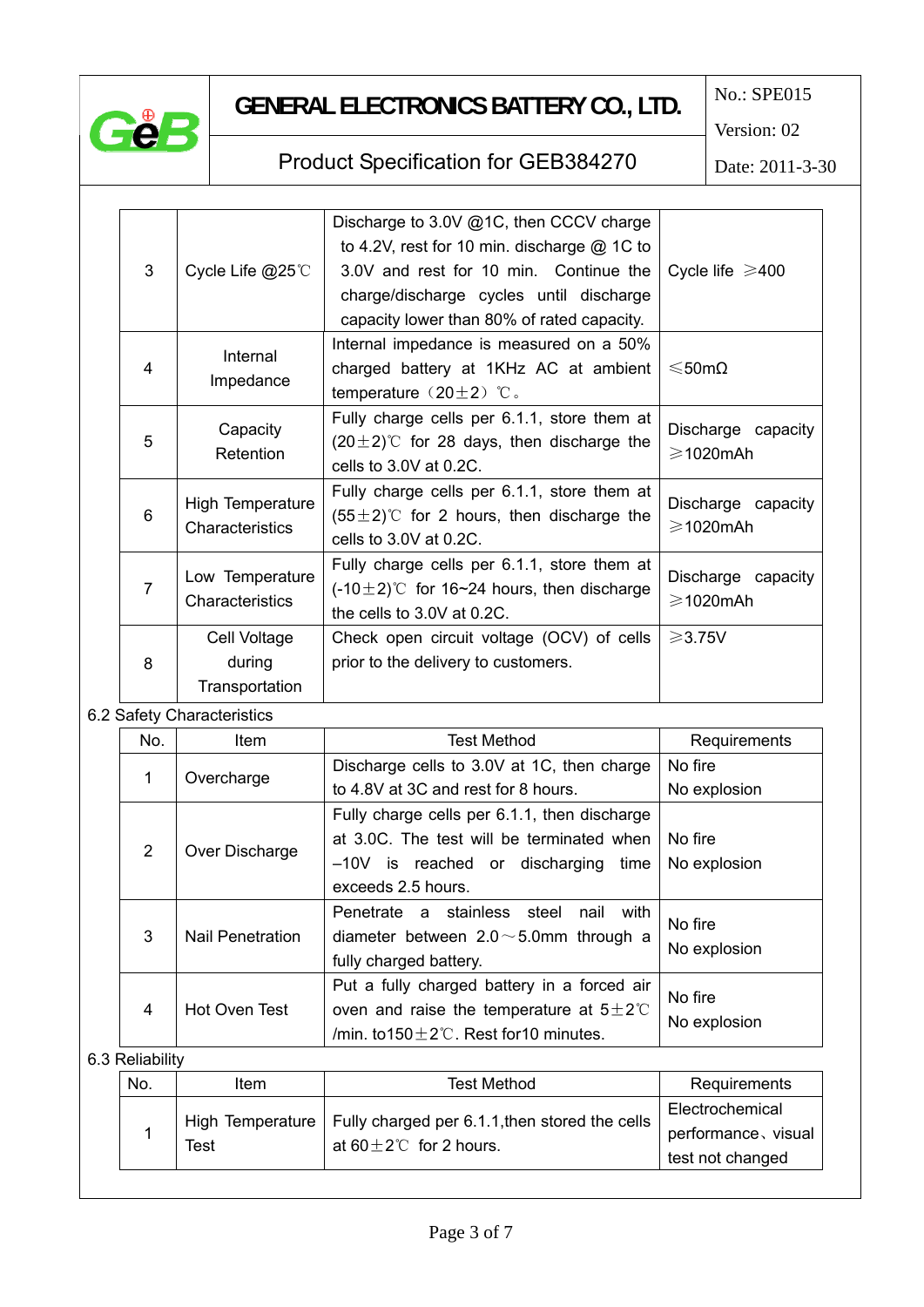

# **GENERAL ELECTRONICS BATTERY CO., LTD.**

No.: SPE015

Version: 02

### Product Specification for GEB384270

Date: 2011-3-30

| 3 | Cycle Life @25℃                                                                                                                                                      | Discharge to 3.0V @1C, then CCCV charge<br>to 4.2V, rest for 10 min. discharge $@$ 1C to<br>3.0V and rest for 10 min. Continue the<br>charge/discharge cycles until discharge<br>capacity lower than 80% of rated capacity. | Cycle life $\geq 400$                     |
|---|----------------------------------------------------------------------------------------------------------------------------------------------------------------------|-----------------------------------------------------------------------------------------------------------------------------------------------------------------------------------------------------------------------------|-------------------------------------------|
| 4 | Internal impedance is measured on a 50%<br>Internal<br>charged battery at 1KHz AC at ambient<br>Impedance<br>temperature $(20 \pm 2)$ °C.                            |                                                                                                                                                                                                                             | $≤$ 50mΩ                                  |
| 5 | Capacity<br>Retention                                                                                                                                                | Fully charge cells per 6.1.1, store them at<br>$(20 \pm 2)$ °C for 28 days, then discharge the<br>cells to $3.0V$ at $0.2C$ .                                                                                               | Discharge capacity<br>$\geqslant$ 1020mAh |
| 6 | Fully charge cells per 6.1.1, store them at<br>High Temperature<br>$(55 \pm 2)$ °C for 2 hours, then discharge the<br>Characteristics<br>cells to $3.0V$ at $0.2C$ . |                                                                                                                                                                                                                             | Discharge capacity<br>$\geqslant$ 1020mAh |
| 7 | Low Temperature<br>Characteristics                                                                                                                                   | Fully charge cells per 6.1.1, store them at<br>$(-10\pm2)$ °C for 16~24 hours, then discharge<br>the cells to 3.0V at 0.2C.                                                                                                 | Discharge capacity<br>$\geqslant$ 1020mAh |
| 8 | Cell Voltage<br>during<br>Transportation                                                                                                                             | Check open circuit voltage (OCV) of cells<br>prior to the delivery to customers.                                                                                                                                            | $\geqslant$ 3.75V                         |

### 6.2 Safety Characteristics

| No.                        | ltem                    | Test Method                                         | Requirements |
|----------------------------|-------------------------|-----------------------------------------------------|--------------|
|                            | Overcharge              | Discharge cells to 3.0V at 1C, then charge          | No fire      |
| 1                          |                         | to 4.8V at 3C and rest for 8 hours.                 | No explosion |
|                            |                         | Fully charge cells per 6.1.1, then discharge        |              |
| $\overline{2}$             | Over Discharge          | at 3.0C. The test will be terminated when           | No fire      |
|                            |                         | -10V is reached or discharging<br>time              | No explosion |
|                            |                         | exceeds 2.5 hours.                                  |              |
|                            |                         | Penetrate a stainless steel<br>nail with            | No fire      |
| 3                          | <b>Nail Penetration</b> | diameter between $2.0 \sim 5.0$ mm through a        | No explosion |
|                            |                         | fully charged battery.                              |              |
|                            | Hot Oven Test           | Put a fully charged battery in a forced air         | No fire      |
| 4                          |                         | oven and raise the temperature at $5\pm2\degree$    |              |
|                            |                         | /min. to $150 \pm 2^{\circ}$ . Rest for 10 minutes. | No explosion |
| ت به کال دان دان دان دان ا |                         |                                                     |              |

#### 6.3 Reliability

| No. | ltem | <b>Test Method</b>                                                                                  | Requirements                                               |
|-----|------|-----------------------------------------------------------------------------------------------------|------------------------------------------------------------|
|     | Test | High Temperature   Fully charged per 6.1.1, then stored the cells  <br>at 60 $\pm$ 2°C for 2 hours. | Electrochemical<br>performance, visual<br>test not changed |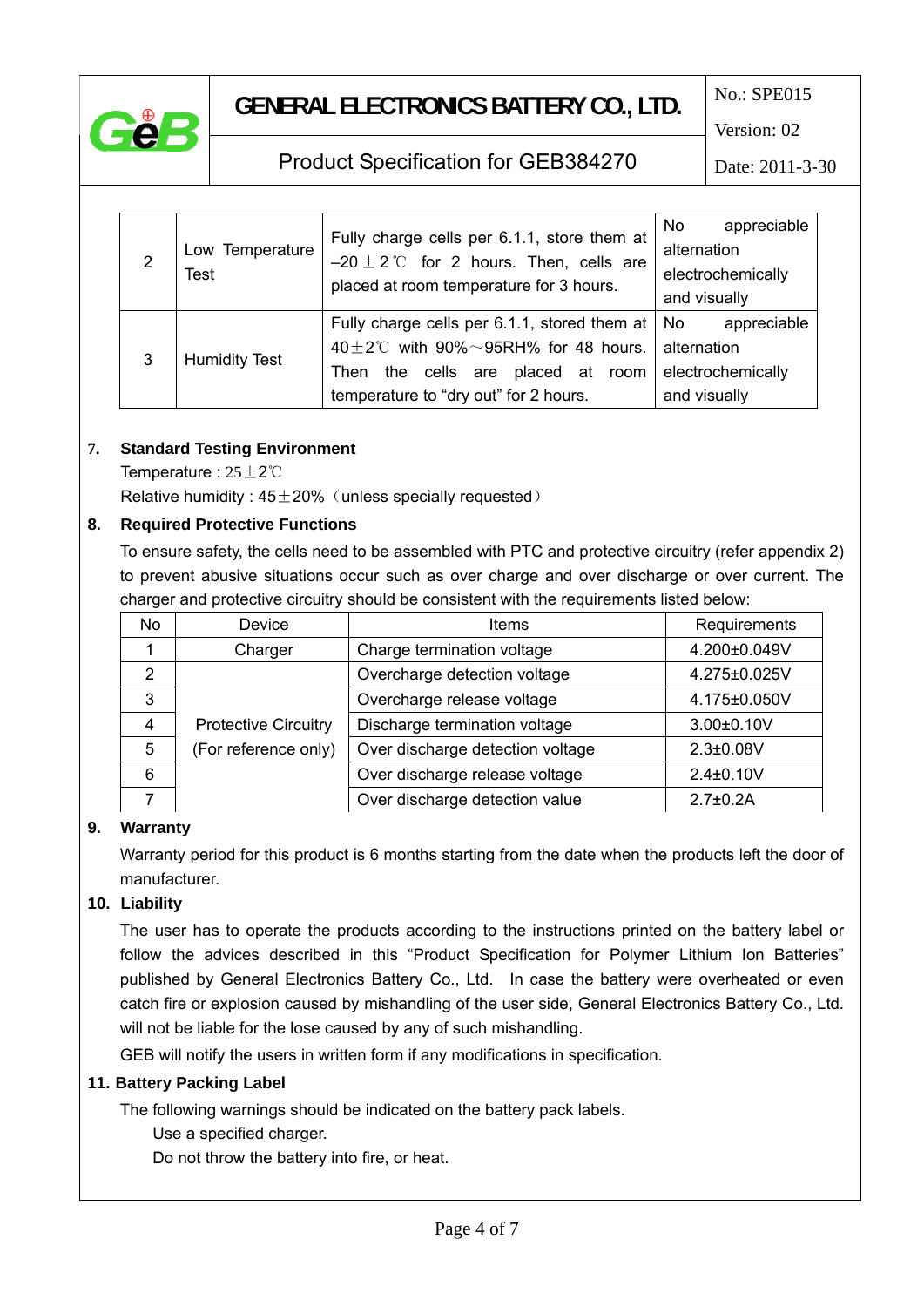

### **GENERAL ELECTRONICS BATTERY CO., LTD.**

No.: SPE015

Version: 02

### Product Specification for GEB384270

Date: 2011-3-30

|                | Low Temperature<br><b>Test</b> | Fully charge cells per 6.1.1, store them at       | appreciable<br>No |
|----------------|--------------------------------|---------------------------------------------------|-------------------|
| $\overline{2}$ |                                | $-20 \pm 2$ °C for 2 hours. Then, cells are       | alternation       |
|                |                                | placed at room temperature for 3 hours.           | electrochemically |
|                |                                |                                                   | and visually      |
|                |                                | Fully charge cells per 6.1.1, stored them at   No | appreciable       |
| 3              | <b>Humidity Test</b>           | 40 $\pm$ 2°C with 90% $\sim$ 95RH% for 48 hours.  | alternation       |
|                |                                | cells are placed at room<br>the<br>Then           | electrochemically |
|                |                                | temperature to "dry out" for 2 hours.             | and visually      |

### **7. Standard Testing Environment**

Temperature : 25±2℃

Relative humidity :  $45\pm20\%$  (unless specially requested)

### **8. Required Protective Functions**

To ensure safety, the cells need to be assembled with PTC and protective circuitry (refer appendix 2) to prevent abusive situations occur such as over charge and over discharge or over current. The charger and protective circuitry should be consistent with the requirements listed below:

| <b>No</b> | Device                      | <b>Items</b>                     | Requirements      |
|-----------|-----------------------------|----------------------------------|-------------------|
|           | Charger                     | Charge termination voltage       | 4.200±0.049V      |
| 2         |                             | Overcharge detection voltage     | 4.275±0.025V      |
| 3         |                             | Overcharge release voltage       | 4.175±0.050V      |
| 4         | <b>Protective Circuitry</b> | Discharge termination voltage    | $3.00 \pm 0.10 V$ |
| 5         | (For reference only)        | Over discharge detection voltage | $2.3 \pm 0.08V$   |
| 6         |                             | Over discharge release voltage   | $2.4 \pm 0.10 V$  |
|           |                             | Over discharge detection value   | $2.7 + 0.2A$      |

### **9. Warranty**

Warranty period for this product is 6 months starting from the date when the products left the door of manufacturer.

### **10. Liability**

The user has to operate the products according to the instructions printed on the battery label or follow the advices described in this "Product Specification for Polymer Lithium Ion Batteries" published by General Electronics Battery Co., Ltd. In case the battery were overheated or even catch fire or explosion caused by mishandling of the user side, General Electronics Battery Co., Ltd. will not be liable for the lose caused by any of such mishandling.

GEB will notify the users in written form if any modifications in specification.

### **11. Battery Packing Label**

The following warnings should be indicated on the battery pack labels.

Use a specified charger.

Do not throw the battery into fire, or heat.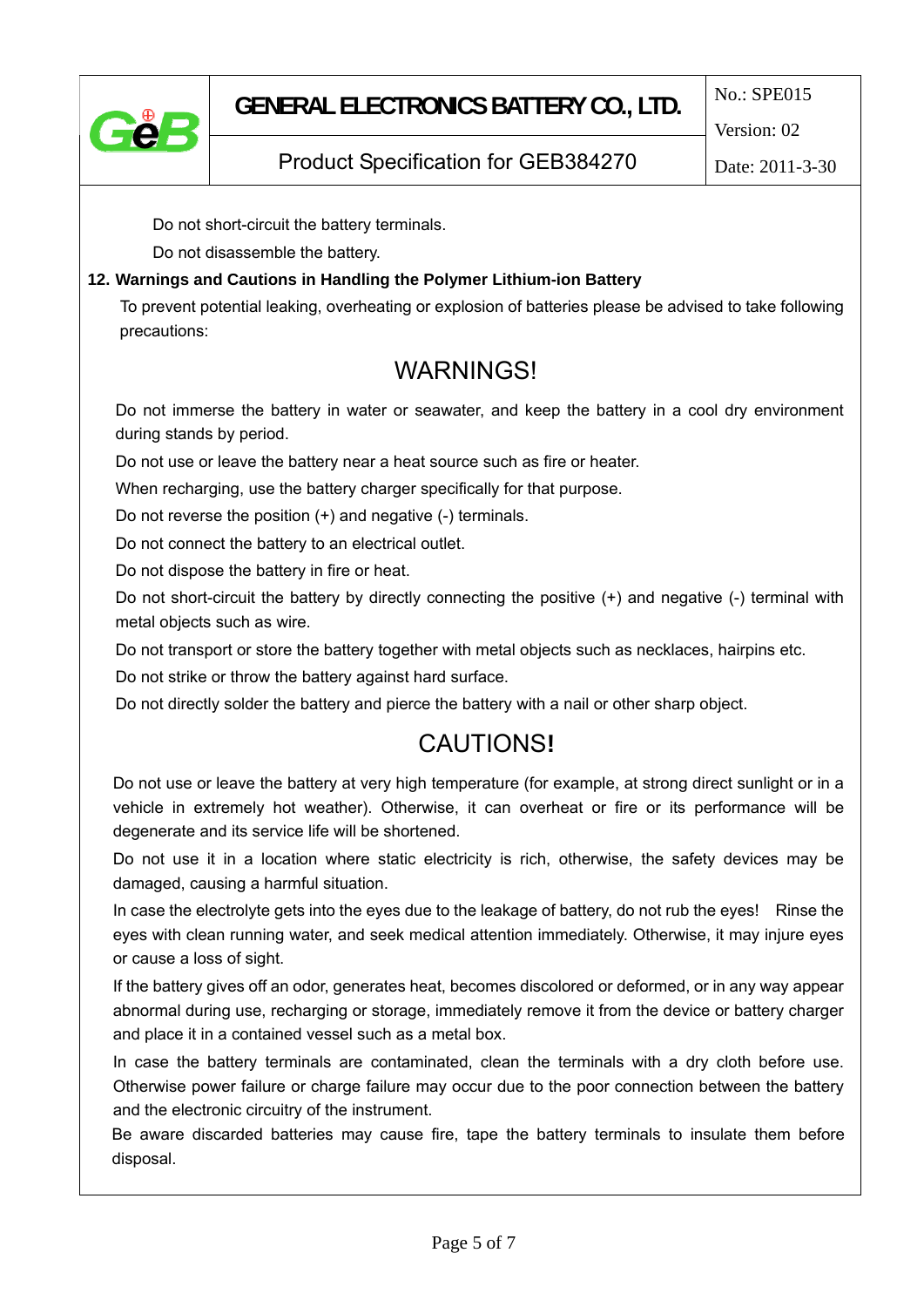

Date: 2011-3-30

Product Specification for GEB384270

Do not short-circuit the battery terminals.

Do not disassemble the battery.

### **12. Warnings and Cautions in Handling the Polymer Lithium-ion Battery**

To prevent potential leaking, overheating or explosion of batteries please be advised to take following precautions:

### **WARNINGS!**

Do not immerse the battery in water or seawater, and keep the battery in a cool dry environment during stands by period.

Do not use or leave the battery near a heat source such as fire or heater.

When recharging, use the battery charger specifically for that purpose.

Do not reverse the position (+) and negative (-) terminals.

Do not connect the battery to an electrical outlet.

Do not dispose the battery in fire or heat.

Do not short-circuit the battery by directly connecting the positive (+) and negative (-) terminal with metal objects such as wire.

Do not transport or store the battery together with metal objects such as necklaces, hairpins etc.

Do not strike or throw the battery against hard surface.

Do not directly solder the battery and pierce the battery with a nail or other sharp object.

# CAUTIONS**!**

Do not use or leave the battery at very high temperature (for example, at strong direct sunlight or in a vehicle in extremely hot weather). Otherwise, it can overheat or fire or its performance will be degenerate and its service life will be shortened.

Do not use it in a location where static electricity is rich, otherwise, the safety devices may be damaged, causing a harmful situation.

In case the electrolyte gets into the eyes due to the leakage of battery, do not rub the eyes! Rinse the eyes with clean running water, and seek medical attention immediately. Otherwise, it may injure eyes or cause a loss of sight.

If the battery gives off an odor, generates heat, becomes discolored or deformed, or in any way appear abnormal during use, recharging or storage, immediately remove it from the device or battery charger and place it in a contained vessel such as a metal box.

In case the battery terminals are contaminated, clean the terminals with a dry cloth before use. Otherwise power failure or charge failure may occur due to the poor connection between the battery and the electronic circuitry of the instrument.

Be aware discarded batteries may cause fire, tape the battery terminals to insulate them before disposal.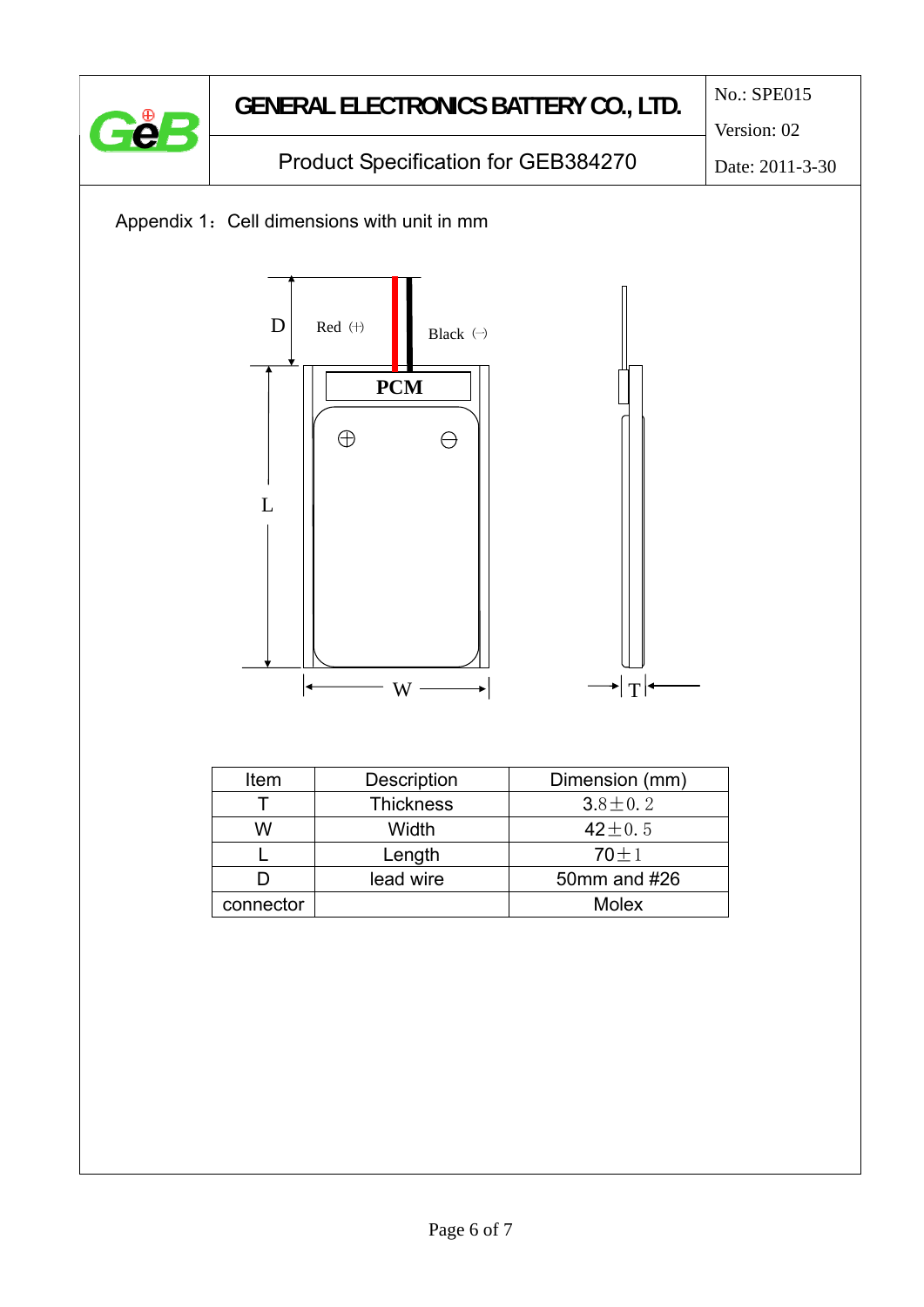